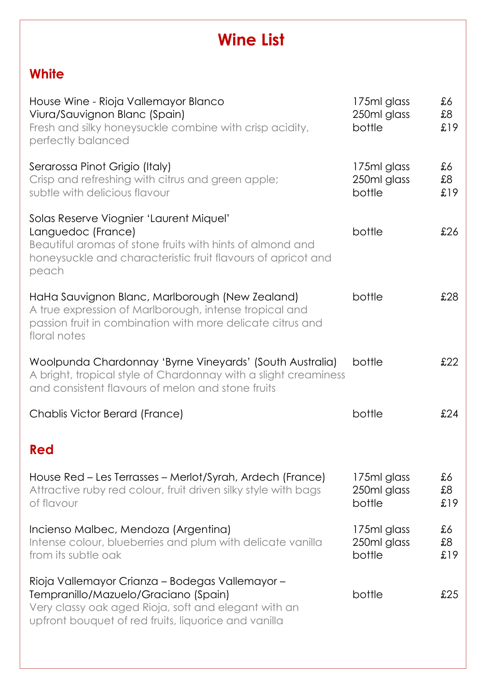## **Wine List**

## **White**

| House Wine - Rioja Vallemayor Blanco<br>Viura/Sauvignon Blanc (Spain)<br>Fresh and silky honeysuckle combine with crisp acidity,<br>perfectly balanced                                                  | 175ml glass<br>250ml glass<br>bottle | £6<br>\$8<br>£19 |
|---------------------------------------------------------------------------------------------------------------------------------------------------------------------------------------------------------|--------------------------------------|------------------|
| Serarossa Pinot Grigio (Italy)<br>Crisp and refreshing with citrus and green apple;<br>subtle with delicious flavour                                                                                    | 175ml glass<br>250ml glass<br>bottle | £6<br>83<br>£19  |
| Solas Reserve Viognier 'Laurent Miquel'<br>Languedoc (France)<br>Beautiful aromas of stone fruits with hints of almond and<br>honeysuckle and characteristic fruit flavours of apricot and<br>peach     | bottle                               | £26              |
| HaHa Sauvignon Blanc, Marlborough (New Zealand)<br>A true expression of Marlborough, intense tropical and<br>passion fruit in combination with more delicate citrus and<br>floral notes                 | bottle                               | £28              |
| Woolpunda Chardonnay 'Byrne Vineyards' (South Australia)<br>A bright, tropical style of Chardonnay with a slight creaminess<br>and consistent flavours of melon and stone fruits                        | bottle                               | £22              |
| Chablis Victor Berard (France)                                                                                                                                                                          | bottle                               | £24              |
| Red                                                                                                                                                                                                     |                                      |                  |
| House Red – Les Terrasses – Merlot/Syrah, Ardech (France)<br>Attractive ruby red colour, fruit driven silky style with bags<br>of flavour                                                               | 175ml glass<br>250ml glass<br>bottle | £6<br>£8<br>£19  |
| Incienso Malbec, Mendoza (Argentina)<br>Intense colour, blueberries and plum with delicate vanilla<br>from its subtle oak                                                                               | 175ml glass<br>250ml glass<br>bottle | £6<br>\$8<br>£19 |
| Rioja Vallemayor Crianza - Bodegas Vallemayor -<br>Tempranillo/Mazuelo/Graciano (Spain)<br>Very classy oak aged Rioja, soft and elegant with an<br>upfront bouquet of red fruits, liquorice and vanilla | bottle                               | £25              |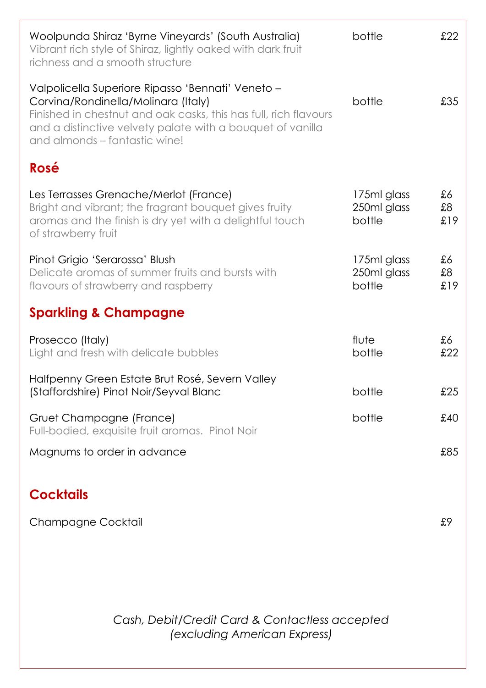| Woolpunda Shiraz 'Byrne Vineyards' (South Australia)<br>Vibrant rich style of Shiraz, lightly oaked with dark fruit<br>richness and a smooth structure                                                                                                      | bottle                               | £22              |
|-------------------------------------------------------------------------------------------------------------------------------------------------------------------------------------------------------------------------------------------------------------|--------------------------------------|------------------|
| Valpolicella Superiore Ripasso 'Bennati' Veneto –<br>Corvina/Rondinella/Molinara (Italy)<br>Finished in chestnut and oak casks, this has full, rich flavours<br>and a distinctive velvety palate with a bouquet of vanilla<br>and almonds – fantastic wine! | bottle                               | £35              |
| Rosé                                                                                                                                                                                                                                                        |                                      |                  |
| Les Terrasses Grenache/Merlot (France)<br>Bright and vibrant; the fragrant bouquet gives fruity<br>aromas and the finish is dry yet with a delightful touch<br>of strawberry fruit                                                                          | 175ml glass<br>250ml glass<br>bottle | £6<br>\$8<br>£19 |
| Pinot Grigio 'Serarossa' Blush<br>Delicate aromas of summer fruits and bursts with<br>flavours of strawberry and raspberry                                                                                                                                  | 175ml glass<br>250ml glass<br>bottle | £6<br>83<br>£19  |
| <b>Sparkling &amp; Champagne</b>                                                                                                                                                                                                                            |                                      |                  |
| Prosecco (Italy)<br>Light and fresh with delicate bubbles                                                                                                                                                                                                   | flute<br>bottle                      | £6<br>£22        |
| Halfpenny Green Estate Brut Rosé, Severn Valley<br>(Staffordshire) Pinot Noir/Seyval Blanc                                                                                                                                                                  | bottle                               | £25              |
| Gruet Champagne (France)<br>Full-bodied, exquisite fruit aromas. Pinot Noir                                                                                                                                                                                 | bottle                               | £40              |
| Magnums to order in advance                                                                                                                                                                                                                                 |                                      | £85              |

## **Cocktails**

Champagne Cocktail **Exercise Exercise Exercise Exercise Exercise Exercise Exercise Exercise Exercise Exercise Exercise Exercise Exercise Exercise Exercise Exercise Exercise Exercise Exercise Exercise Exercise Exercise Exer** 

*Cash, Debit/Credit Card & Contactless accepted (excluding American Express)*